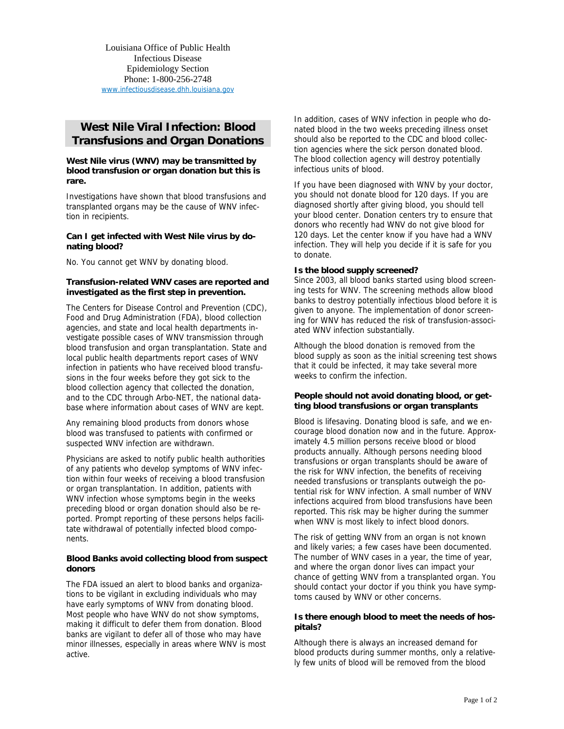Louisiana Office of Public Health Infectious Disease Epidemiology Section Phone: 1-800-256-2748 www.infectiousdisease.dhh.louisiana.gov

# **West Nile Viral Infection: Blood Transfusions and Organ Donations**

#### **West Nile virus (WNV) may be transmitted by blood transfusion or organ donation but this is rare.**

Investigations have shown that blood transfusions and transplanted organs may be the cause of WNV infection in recipients.

#### **Can I get infected with West Nile virus by donating blood?**

No. You cannot get WNV by donating blood.

## **Transfusion-related WNV cases are reported and investigated as the first step in prevention.**

The Centers for Disease Control and Prevention (CDC), Food and Drug Administration (FDA), blood collection agencies, and state and local health departments investigate possible cases of WNV transmission through blood transfusion and organ transplantation. State and local public health departments report cases of WNV infection in patients who have received blood transfusions in the four weeks before they got sick to the blood collection agency that collected the donation, and to the CDC through Arbo-NET, the national database where information about cases of WNV are kept.

Any remaining blood products from donors whose blood was transfused to patients with confirmed or suspected WNV infection are withdrawn.

Physicians are asked to notify public health authorities of any patients who develop symptoms of WNV infection within four weeks of receiving a blood transfusion or organ transplantation. In addition, patients with WNV infection whose symptoms begin in the weeks preceding blood or organ donation should also be reported. Prompt reporting of these persons helps facilitate withdrawal of potentially infected blood components.

## **Blood Banks avoid collecting blood from suspect donors**

The FDA issued an alert to blood banks and organizations to be vigilant in excluding individuals who may have early symptoms of WNV from donating blood. Most people who have WNV do not show symptoms, making it difficult to defer them from donation. Blood banks are vigilant to defer all of those who may have minor illnesses, especially in areas where WNV is most active.

In addition, cases of WNV infection in people who donated blood in the two weeks preceding illness onset should also be reported to the CDC and blood collection agencies where the sick person donated blood. The blood collection agency will destroy potentially infectious units of blood.

If you have been diagnosed with WNV by your doctor, you should not donate blood for 120 days. If you are diagnosed shortly after giving blood, you should tell your blood center. Donation centers try to ensure that donors who recently had WNV do not give blood for 120 days. Let the center know if you have had a WNV infection. They will help you decide if it is safe for you to donate.

## **Is the blood supply screened?**

Since 2003, all blood banks started using blood screening tests for WNV. The screening methods allow blood banks to destroy potentially infectious blood before it is given to anyone. The implementation of donor screening for WNV has reduced the risk of transfusion-associated WNV infection substantially.

Although the blood donation is removed from the blood supply as soon as the initial screening test shows that it could be infected, it may take several more weeks to confirm the infection.

## **People should not avoid donating blood, or getting blood transfusions or organ transplants**

Blood is lifesaving. Donating blood is safe, and we encourage blood donation now and in the future. Approximately 4.5 million persons receive blood or blood products annually. Although persons needing blood transfusions or organ transplants should be aware of the risk for WNV infection, the benefits of receiving needed transfusions or transplants outweigh the potential risk for WNV infection. A small number of WNV infections acquired from blood transfusions have been reported. This risk may be higher during the summer when WNV is most likely to infect blood donors.

The risk of getting WNV from an organ is not known and likely varies; a few cases have been documented. The number of WNV cases in a year, the time of year, and where the organ donor lives can impact your chance of getting WNV from a transplanted organ. You should contact your doctor if you think you have symptoms caused by WNV or other concerns.

## **Is there enough blood to meet the needs of hospitals?**

Although there is always an increased demand for blood products during summer months, only a relatively few units of blood will be removed from the blood